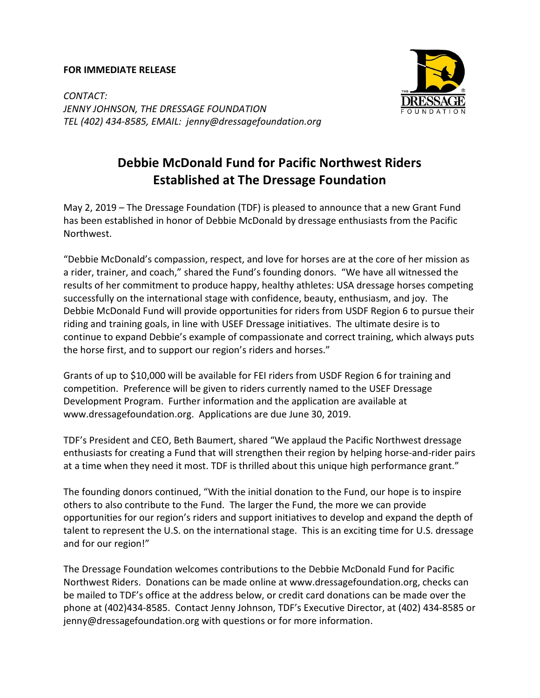## FOR IMMEDIATE RELEASE



CONTACT: JENNY JOHNSON, THE DRESSAGE FOUNDATION TEL (402) 434-8585, EMAIL: jenny@dressagefoundation.org

## Debbie McDonald Fund for Pacific Northwest Riders Established at The Dressage Foundation

May 2, 2019 – The Dressage Foundation (TDF) is pleased to announce that a new Grant Fund has been established in honor of Debbie McDonald by dressage enthusiasts from the Pacific Northwest.

"Debbie McDonald's compassion, respect, and love for horses are at the core of her mission as a rider, trainer, and coach," shared the Fund's founding donors. "We have all witnessed the results of her commitment to produce happy, healthy athletes: USA dressage horses competing successfully on the international stage with confidence, beauty, enthusiasm, and joy. The Debbie McDonald Fund will provide opportunities for riders from USDF Region 6 to pursue their riding and training goals, in line with USEF Dressage initiatives. The ultimate desire is to continue to expand Debbie's example of compassionate and correct training, which always puts the horse first, and to support our region's riders and horses."

Grants of up to \$10,000 will be available for FEI riders from USDF Region 6 for training and competition. Preference will be given to riders currently named to the USEF Dressage Development Program. Further information and the application are available at www.dressagefoundation.org. Applications are due June 30, 2019.

TDF's President and CEO, Beth Baumert, shared "We applaud the Pacific Northwest dressage enthusiasts for creating a Fund that will strengthen their region by helping horse-and-rider pairs at a time when they need it most. TDF is thrilled about this unique high performance grant."

The founding donors continued, "With the initial donation to the Fund, our hope is to inspire others to also contribute to the Fund. The larger the Fund, the more we can provide opportunities for our region's riders and support initiatives to develop and expand the depth of talent to represent the U.S. on the international stage. This is an exciting time for U.S. dressage and for our region!"

The Dressage Foundation welcomes contributions to the Debbie McDonald Fund for Pacific Northwest Riders. Donations can be made online at www.dressagefoundation.org, checks can be mailed to TDF's office at the address below, or credit card donations can be made over the phone at (402)434-8585. Contact Jenny Johnson, TDF's Executive Director, at (402) 434-8585 or jenny@dressagefoundation.org with questions or for more information.